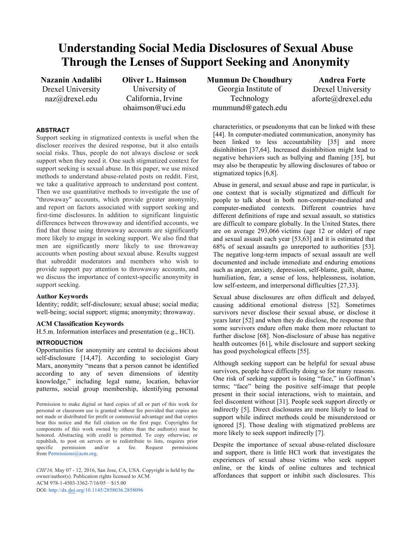# **Understanding Social Media Disclosures of Sexual Abuse Through the Lenses of Support Seeking and Anonymity**

**Nazanin Andalibi** Drexel University naz@drexel.edu

**Oliver L. Haimson** University of California, Irvine ohaimson@uci.edu

## **ABSTRACT**

Support seeking in stigmatized contexts is useful when the discloser receives the desired response, but it also entails social risks. Thus, people do not always disclose or seek support when they need it. One such stigmatized context for support seeking is sexual abuse. In this paper, we use mixed methods to understand abuse-related posts on reddit. First, we take a qualitative approach to understand post content. Then we use quantitative methods to investigate the use of "throwaway" accounts, which provide greater anonymity, and report on factors associated with support seeking and first-time disclosures. In addition to significant linguistic differences between throwaway and identified accounts, we find that those using throwaway accounts are significantly more likely to engage in seeking support. We also find that men are significantly more likely to use throwaway accounts when posting about sexual abuse. Results suggest that subreddit moderators and members who wish to provide support pay attention to throwaway accounts, and we discuss the importance of context-specific anonymity in support seeking.

#### **Author Keywords**

Identity; reddit; self-disclosure; sexual abuse; social media; well-being; social support; stigma; anonymity; throwaway.

## **ACM Classification Keywords**

H.5.m. Information interfaces and presentation (e.g., HCI).

#### **INTRODUCTION**

Opportunities for anonymity are central to decisions about self-disclosure [14,47]. According to sociologist Gary Marx, anonymity "means that a person cannot be identified according to any of seven dimensions of identity knowledge," including legal name, location, behavior patterns, social group membership, identifying personal

Permission to make digital or hard copies of all or part of this work for personal or classroom use is granted without fee provided that copies are not made or distributed for profit or commercial advantage and that copies bear this notice and the full citation on the first page. Copyrights for components of this work owned by others than the author(s) must be honored. Abstracting with credit is permitted. To copy otherwise, or republish, to post on servers or to redistribute to lists, requires prior specific permission and/or a fee. Request permissions from Permissions@acm.org.

*CHI'16,* May 07 - 12, 2016, San Jose, CA, USA. Copyright is held by the owner/author(s). Publication rights licensed to ACM. ACM 978-1-4503-3362-7/16/05…\$15.00 DOI: http://dx.doi.org/10.1145/2858036.2858096

**Munmun De Choudhury** Georgia Institute of Technology munmund@gatech.edu

**Andrea Forte** Drexel University aforte@drexel.edu

characteristics, or pseudonyms that can be linked with these [44]. In computer-mediated communication, anonymity has been linked to less accountability [35] and more disinhibition [37,64]. Increased disinhibition might lead to negative behaviors such as bullying and flaming [35], but may also be therapeutic by allowing disclosures of taboo or stigmatized topics [6,8].

Abuse in general, and sexual abuse and rape in particular, is one context that is socially stigmatized and difficult for people to talk about in both non-computer-mediated and computer-mediated contexts. Different countries have different definitions of rape and sexual assault, so statistics are difficult to compare globally. In the United States, there are on average 293,066 victims (age 12 or older) of rape and sexual assault each year [53,63] and it is estimated that 68% of sexual assaults go unreported to authorities [53]. The negative long-term impacts of sexual assault are well documented and include immediate and enduring emotions such as anger, anxiety, depression, self-blame, guilt, shame, humiliation, fear, a sense of loss, helplessness, isolation, low self-esteem, and interpersonal difficulties [27,33].

Sexual abuse disclosures are often difficult and delayed, causing additional emotional distress [52]. Sometimes survivors never disclose their sexual abuse, or disclose it years later [52] and when they do disclose, the response that some survivors endure often make them more reluctant to further disclose [68]. Non-disclosure of abuse has negative health outcomes [61], while disclosure and support seeking has good psychological effects [55].

Although seeking support can be helpful for sexual abuse survivors, people have difficulty doing so for many reasons. One risk of seeking support is losing "face," in Goffman's terms; "face" being the positive self-image that people present in their social interactions, wish to maintain, and feel discontent without [31]. People seek support directly or indirectly [5]. Direct disclosures are more likely to lead to support while indirect methods could be misunderstood or ignored [5]. Those dealing with stigmatized problems are more likely to seek support indirectly [7].

Despite the importance of sexual abuse-related disclosure and support, there is little HCI work that investigates the experiences of sexual abuse victims who seek support online, or the kinds of online cultures and technical affordances that support or inhibit such disclosures. This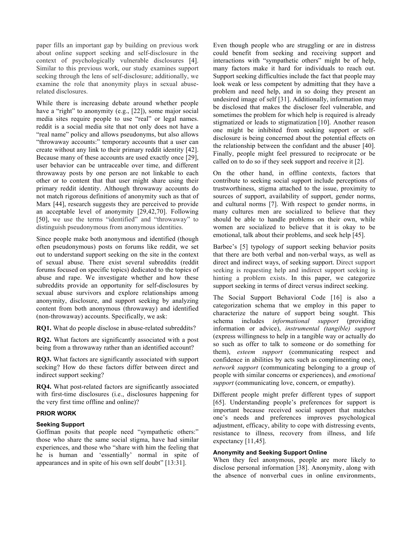paper fills an important gap by building on previous work about online support seeking and self-disclosure in the context of psychologically vulnerable disclosures [4]. Similar to this previous work, our study examines support seeking through the lens of self-disclosure; additionally, we examine the role that anonymity plays in sexual abuserelated disclosures.

While there is increasing debate around whether people have a "right" to anonymity (e.g., [22]), some major social media sites require people to use "real" or legal names. reddit is a social media site that not only does not have a "real name" policy and allows pseudonyms, but also allows "throwaway accounts:" temporary accounts that a user can create without any link to their primary reddit identity [42]. Because many of these accounts are used exactly once [29], user behavior can be untraceable over time, and different throwaway posts by one person are not linkable to each other or to content that that user might share using their primary reddit identity. Although throwaway accounts do not match rigorous definitions of anonymity such as that of Marx [44], research suggests they are perceived to provide an acceptable level of anonymity [29,42,70]. Following [50], we use the terms "identified" and "throwaway" to distinguish pseudonymous from anonymous identities.

Since people make both anonymous and identified (though often pseudonymous) posts on forums like reddit, we set out to understand support seeking on the site in the context of sexual abuse. There exist several subreddits (reddit forums focused on specific topics) dedicated to the topics of abuse and rape. We investigate whether and how these subreddits provide an opportunity for self-disclosures by sexual abuse survivors and explore relationships among anonymity, disclosure, and support seeking by analyzing content from both anonymous (throwaway) and identified (non-throwaway) accounts. Specifically, we ask:

**RQ1.** What do people disclose in abuse-related subreddits?

**RQ2.** What factors are significantly associated with a post being from a throwaway rather than an identified account?

**RQ3.** What factors are significantly associated with support seeking? How do these factors differ between direct and indirect support seeking?

**RQ4.** What post-related factors are significantly associated with first-time disclosures (i.e., disclosures happening for the very first time offline and online)?

# **PRIOR WORK**

## **Seeking Support**

Goffman posits that people need "sympathetic others:" those who share the same social stigma, have had similar experiences, and those who "share with him the feeling that he is human and 'essentially' normal in spite of appearances and in spite of his own self doubt" [13:31].

Even though people who are struggling or are in distress could benefit from seeking and receiving support and interactions with "sympathetic others" might be of help, many factors make it hard for individuals to reach out. Support seeking difficulties include the fact that people may look weak or less competent by admitting that they have a problem and need help, and in so doing they present an undesired image of self [31]. Additionally, information may be disclosed that makes the discloser feel vulnerable, and sometimes the problem for which help is required is already stigmatized or leads to stigmatization [10]. Another reason one might be inhibited from seeking support or selfdisclosure is being concerned about the potential effects on the relationship between the confidant and the abuser [40]. Finally, people might feel pressured to reciprocate or be called on to do so if they seek support and receive it [2].

On the other hand, in offline contexts, factors that contribute to seeking social support include perceptions of trustworthiness, stigma attached to the issue, proximity to sources of support, availability of support, gender norms, and cultural norms [7]. With respect to gender norms, in many cultures men are socialized to believe that they should be able to handle problems on their own, while women are socialized to believe that it is okay to be emotional, talk about their problems, and seek help [45].

Barbee's [5] typology of support seeking behavior posits that there are both verbal and non-verbal ways, as well as direct and indirect ways, of seeking support. Direct support seeking is requesting help and indirect support seeking is hinting a problem exists. In this paper, we categorize support seeking in terms of direct versus indirect seeking.

The Social Support Behavioral Code [16] is also a categorization schema that we employ in this paper to characterize the nature of support being sought. This schema includes *informational support* (providing information or advice), *instrumental (tangible) support* (express willingness to help in a tangible way or actually do so such as offer to talk to someone or do something for them), *esteem support* (communicating respect and confidence in abilities by acts such as complimenting one), *network support* (communicating belonging to a group of people with similar concerns or experiences), and *emotional support* (communicating love, concern, or empathy).

Different people might prefer different types of support [65]. Understanding people's preferences for support is important because received social support that matches one's needs and preferences improves psychological adjustment, efficacy, ability to cope with distressing events, resistance to illness, recovery from illness, and life expectancy [11,45].

# **Anonymity and Seeking Support Online**

When they feel anonymous, people are more likely to disclose personal information [38]. Anonymity, along with the absence of nonverbal cues in online environments,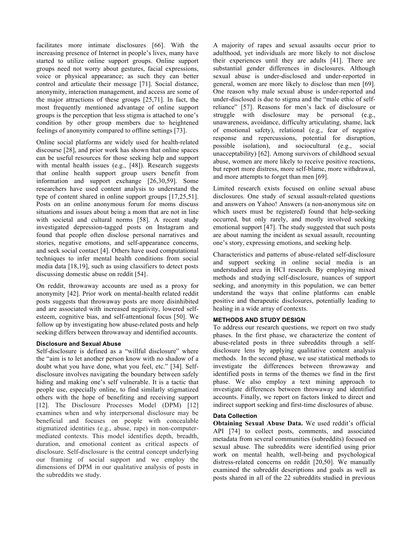facilitates more intimate disclosures [66]. With the increasing presence of Internet in people's lives, many have started to utilize online support groups. Online support groups need not worry about gestures, facial expressions, voice or physical appearance; as such they can better control and articulate their message [71]. Social distance, anonymity, interaction management, and access are some of the major attractions of these groups [25,71]. In fact, the most frequently mentioned advantage of online support groups is the perception that less stigma is attached to one's condition by other group members due to heightened feelings of anonymity compared to offline settings [73].

Online social platforms are widely used for health-related discourse [28], and prior work has shown that online spaces can be useful resources for those seeking help and support with mental health issues (e.g., [48]). Research suggests that online health support group users benefit from information and support exchange [26,30,59]. Some researchers have used content analysis to understand the type of content shared in online support groups [17,25,51]. Posts on an online anonymous forum for moms discuss situations and issues about being a mom that are not in line with societal and cultural norms [58]. A recent study investigated depression-tagged posts on Instagram and found that people often disclose personal narratives and stories, negative emotions, and self-appearance concerns, and seek social contact [4]. Others have used computational techniques to infer mental health conditions from social media data [18,19], such as using classifiers to detect posts discussing domestic abuse on reddit [54].

On reddit, throwaway accounts are used as a proxy for anonymity [42]. Prior work on mental-health related reddit posts suggests that throwaway posts are more disinhibited and are associated with increased negativity, lowered selfesteem, cognitive bias, and self-attentional focus [50]. We follow up by investigating how abuse-related posts and help seeking differs between throwaway and identified accounts.

# **Disclosure and Sexual Abuse**

Self-disclosure is defined as a "willful disclosure" where the "aim is to let another person know with no shadow of a doubt what you have done, what you feel, etc." [34]. Selfdisclosure involves navigating the boundary between safely hiding and making one's self vulnerable. It is a tactic that people use, especially online, to find similarly stigmatized others with the hope of benefiting and receiving support [12]. The Disclosure Processes Model (DPM) [12] examines when and why interpersonal disclosure may be beneficial and focuses on people with concealable stigmatized identities (e.g., abuse, rape) in non-computermediated contexts. This model identifies depth, breadth, duration, and emotional content as critical aspects of disclosure. Self-disclosure is the central concept underlying our framing of social support and we employ the dimensions of DPM in our qualitative analysis of posts in the subreddits we study.

A majority of rapes and sexual assaults occur prior to adulthood, yet individuals are more likely to not disclose their experiences until they are adults [41]. There are substantial gender differences in disclosures. Although sexual abuse is under-disclosed and under-reported in general, women are more likely to disclose than men [69]. One reason why male sexual abuse is under-reported and under-disclosed is due to stigma and the "male ethic of selfreliance" [57]. Reasons for men's lack of disclosure or struggle with disclosure may be personal (e.g., unawareness, avoidance, difficulty articulating, shame, lack of emotional safety), relational (e.g., fear of negative response and repercussions, potential for disruption, possible isolation), and sociocultural (e.g., social unacceptability) [62]. Among survivors of childhood sexual abuse, women are more likely to receive positive reactions, but report more distress, more self-blame, more withdrawal, and more attempts to forget than men [69].

Limited research exists focused on online sexual abuse disclosures. One study of sexual assault-related questions and answers on Yahoo! Answers (a non-anonymous site on which users must be registered) found that help-seeking occurred, but only rarely, and mostly involved seeking emotional support [47]. The study suggested that such posts are about naming the incident as sexual assault, recounting one's story, expressing emotions, and seeking help.

Characteristics and patterns of abuse-related self-disclosure and support seeking in online social media is an understudied area in HCI research. By employing mixed methods and studying self-disclosure, nuances of support seeking, and anonymity in this population, we can better understand the ways that online platforms can enable positive and therapeutic disclosures, potentially leading to healing in a wide array of contexts.

# **METHODS AND STUDY DESIGN**

To address our research questions, we report on two study phases. In the first phase, we characterize the content of abuse-related posts in three subreddits through a selfdisclosure lens by applying qualitative content analysis methods. In the second phase, we use statistical methods to investigate the differences between throwaway and identified posts in terms of the themes we find in the first phase. We also employ a text mining approach to investigate differences between throwaway and identified accounts. Finally, we report on factors linked to direct and indirect support seeking and first-time disclosures of abuse.

## **Data Collection**

**Obtaining Sexual Abuse Data.** We used reddit's official API [74] to collect posts, comments, and associated metadata from several communities (subreddits) focused on sexual abuse. The subreddits were identified using prior work on mental health, well-being and psychological distress-related concerns on reddit [20,50]. We manually examined the subreddit descriptions and goals as well as posts shared in all of the 22 subreddits studied in previous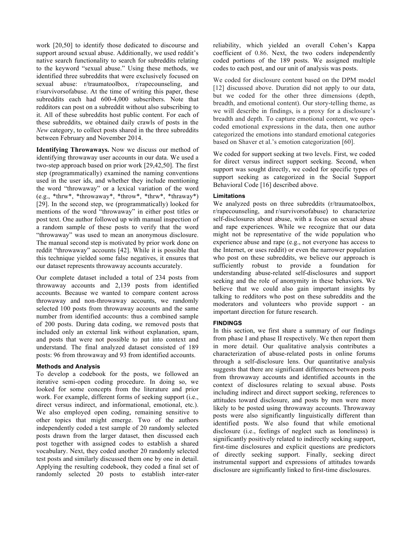work [20,50] to identify those dedicated to discourse and support around sexual abuse. Additionally, we used reddit's native search functionality to search for subreddits relating to the keyword "sexual abuse." Using these methods, we identified three subreddits that were exclusively focused on sexual abuse: r/traumatoolbox, r/rapecounseling, and r/survivorsofabuse. At the time of writing this paper, these subreddits each had 600-4,000 subscribers. Note that redditors can post on a subreddit without also subscribing to it. All of these subreddits host public content. For each of these subreddits, we obtained daily crawls of posts in the *New* category, to collect posts shared in the three subreddits between February and November 2014.

**Identifying Throwaways.** Now we discuss our method of identifying throwaway user accounts in our data. We used a two-step approach based on prior work [29,42,50]. The first step (programmatically) examined the naming conventions used in the user ids, and whether they include mentioning the word "throwaway" or a lexical variation of the word (e.g., \*thrw\*, \*throwaway\*, \*throw\*, \*thrw\*, \*thraway\*) [29]. In the second step, we (programmatically) looked for mentions of the word "throwaway" in either post titles or post text. One author followed up with manual inspection of a random sample of these posts to verify that the word "throwaway" was used to mean an anonymous disclosure. The manual second step is motivated by prior work done on reddit "throwaway" accounts [42]. While it is possible that this technique yielded some false negatives, it ensures that our dataset represents throwaway accounts accurately.

Our complete dataset included a total of 234 posts from throwaway accounts and 2,139 posts from identified accounts. Because we wanted to compare content across throwaway and non-throwaway accounts, we randomly selected 100 posts from throwaway accounts and the same number from identified accounts: thus a combined sample of 200 posts. During data coding, we removed posts that included only an external link without explanation, spam, and posts that were not possible to put into context and understand. The final analyzed dataset consisted of 189 posts: 96 from throwaway and 93 from identified accounts.

## **Methods and Analysis**

To develop a codebook for the posts, we followed an iterative semi-open coding procedure. In doing so, we looked for some concepts from the literature and prior work. For example, different forms of seeking support (i.e., direct versus indirect, and informational, emotional, etc.). We also employed open coding, remaining sensitive to other topics that might emerge. Two of the authors independently coded a test sample of 20 randomly selected posts drawn from the larger dataset, then discussed each post together with assigned codes to establish a shared vocabulary. Next, they coded another 20 randomly selected test posts and similarly discussed them one by one in detail. Applying the resulting codebook, they coded a final set of randomly selected 20 posts to establish inter-rater

reliability, which yielded an overall Cohen's Kappa coefficient of 0.86. Next, the two coders independently coded portions of the 189 posts. We assigned multiple codes to each post, and our unit of analysis was posts.

We coded for disclosure content based on the DPM model [12] discussed above. Duration did not apply to our data, but we coded for the other three dimensions (depth, breadth, and emotional content). Our story-telling theme, as we will describe in findings, is a proxy for a disclosure's breadth and depth. To capture emotional content, we opencoded emotional expressions in the data, then one author categorized the emotions into standard emotional categories based on Shaver et al.'s emotion categorization [60].

We coded for support seeking at two levels. First, we coded for direct versus indirect support seeking. Second, when support was sought directly, we coded for specific types of support seeking as categorized in the Social Support Behavioral Code [16] described above.

# **Limitations**

We analyzed posts on three subreddits (r/traumatoolbox, r/rapecounseling, and r/survivorsofabuse) to characterize self-disclosures about abuse, with a focus on sexual abuse and rape experiences. While we recognize that our data might not be representative of the wide population who experience abuse and rape (e.g., not everyone has access to the Internet, or uses reddit) or even the narrower population who post on these subreddits, we believe our approach is sufficiently robust to provide a foundation for understanding abuse-related self-disclosures and support seeking and the role of anonymity in these behaviors. We believe that we could also gain important insights by talking to redditors who post on these subreddits and the moderators and volunteers who provide support - an important direction for future research.

## **FINDINGS**

In this section, we first share a summary of our findings from phase I and phase II respectively. We then report them in more detail. Our qualitative analysis contributes a characterization of abuse-related posts in online forums through a self-disclosure lens. Our quantitative analysis suggests that there are significant differences between posts from throwaway accounts and identified accounts in the context of disclosures relating to sexual abuse. Posts including indirect and direct support seeking, references to attitudes toward disclosure, and posts by men were more likely to be posted using throwaway accounts. Throwaway posts were also significantly linguistically different than identified posts. We also found that while emotional disclosure (i.e., feelings of neglect such as loneliness) is significantly positively related to indirectly seeking support, first-time disclosures and explicit questions are predictors of directly seeking support. Finally, seeking direct instrumental support and expressions of attitudes towards disclosure are significantly linked to first-time disclosures.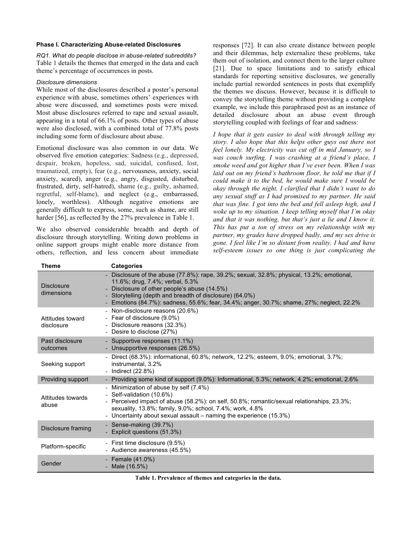#### **Phase I. Characterizing Abuse-related Disclosures**

*RQ1. What do people disclose in abuse-related subreddits?* Table 1 details the themes that emerged in the data and each theme's percentage of occurrences in posts.

# *Disclosure dimensions*

While most of the disclosures described a poster's personal experience with abuse, sometimes others' experiences with abuse were discussed, and sometimes posts were mixed. Most abuse disclosures referred to rape and sexual assault, appearing in a total of 66.1% of posts. Other types of abuse were also disclosed, with a combined total of 77.8% posts including some form of disclosure about abuse.

Emotional disclosure was also common in our data. We observed five emotion categories: Sadness (e.g., depressed, despair, broken, hopeless, sad, suicidal, confused, lost, traumatized, empty), fear (e.g., nervousness, anxiety, social anxiety, scared), anger (e.g., angry, disgusted, disturbed, frustrated, dirty, self-hatred), shame (e.g., guilty, ashamed, regretful, self-blame), and neglect (e.g., embarrassed, lonely, worthless). Although negative emotions are generally difficult to express, some, such as shame, are still harder [56], as reflected by the 27% prevalence in Table 1.

We also observed considerable breadth and depth of disclosure through storytelling. Writing down problems in online support groups might enable more distance from others, reflection, and less concern about immediate responses [72]. It can also create distance between people and their dilemmas, help externalize these problems, take them out of isolation, and connect them to the larger culture [21]. Due to space limitations and to satisfy ethical standards for reporting sensitive disclosures, we generally include partial reworded sentences in posts that exemplify the themes we discuss. However, because it is difficult to convey the storytelling theme without providing a complete example, we include this paraphrased post as an instance of detailed disclosure about an abuse event through storytelling coupled with feelings of fear and sadness:

*I hope that it gets easier to deal with through telling my story. I also hope that this helps other guys out there not feel lonely. My electricity was cut off in mid January, so I was couch surfing. I was crashing at a friend's place, I smoke weed and got higher than I've ever been. When I was laid out on my friend's bathroom floor, he told me that if I could make it to the bed, he would make sure I would be okay through the night. I clarified that I didn't want to do any sexual stuff as I had promised to my partner. He said that was fine. I got into the bed and fell asleep high, and I woke up to my situation. I keep telling myself that I'm okay and that it was nothing, but that's just a lie and I know it. This has put a ton of stress on my relationship with my partner, my grades have dropped badly, and my sex drive is gone. I feel like I'm so distant from reality. I had and have self-esteem issues so one thing is just complicating the* 

| <b>Theme</b>                    | <b>Categories</b>                                                                                                                                                                                                                                                                                                                      |
|---------------------------------|----------------------------------------------------------------------------------------------------------------------------------------------------------------------------------------------------------------------------------------------------------------------------------------------------------------------------------------|
| <b>Disclosure</b><br>dimensions | - Disclosure of the abuse (77.8%): rape, 39.2%; sexual, 32.8%; physical, 13.2%; emotional,<br>11.6%; drug, 7.4%; verbal, 5.3%<br>- Disclosure of other people's abuse (14.5%)<br>- Storytelling (depth and breadth of disclosure) (64.0%)<br>- Emotions (84.7%): sadness, 55.6%; fear, 34.4%; anger, 30.7%; shame, 27%; neglect, 22.2% |
| Attitudes toward<br>disclosure  | - Non-disclosure reasons (20.6%)<br>- Fear of disclosure (9.0%)<br>- Disclosure reasons (32.3%)<br>- Desire to disclose (27%)                                                                                                                                                                                                          |
| Past disclosure<br>outcomes     | - Supportive responses (11.1%)<br>- Unsupportive responses (26.5%)                                                                                                                                                                                                                                                                     |
| Seeking support                 | - Direct (68.3%): informational, 60.8%; network, 12.2%; esteem, 9.0%; emotional, 3.7%;<br>instrumental, 3.2%<br>- Indirect (22.8%)                                                                                                                                                                                                     |
| Providing support               | - Providing some kind of support (9.0%): Informational, 5.3%; network, 4.2%; emotional, 2.6%                                                                                                                                                                                                                                           |
| Attitudes towards<br>abuse      | - Minimization of abuse by self (7.4%)<br>- Self-validation (10.6%)<br>- Perceived impact of abuse (58.2%): on self, 50.8%; romantic/sexual relationships, 23.3%;<br>sexuality, 13.8%; family, 9.0%; school, 7.4%; work, 4.8%<br>- Uncertainty about sexual assault – naming the experience (15.3%)                                    |
| Disclosure framing              | - Sense-making (39.7%)<br>- Explicit questions (51.3%)                                                                                                                                                                                                                                                                                 |
| Platform-specific               | - First time disclosure (9.5%)<br>- Audience awareness (45.5%)                                                                                                                                                                                                                                                                         |
| Gender                          | - Female $(41.0\%)$<br>- Male $(16.5%)$                                                                                                                                                                                                                                                                                                |

**Table 1. Prevalence of themes and categories in the data.**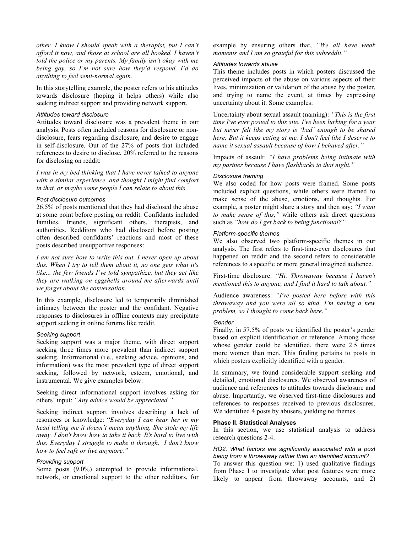*other. I know I should speak with a therapist, but I can't afford it now, and those at school are all booked. I haven't told the police or my parents. My family isn't okay with me being gay, so I'm not sure how they'd respond. I'd do anything to feel semi-normal again.*

In this storytelling example, the poster refers to his attitudes towards disclosure (hoping it helps others) while also seeking indirect support and providing network support.

## *Attitudes toward disclosure*

Attitudes toward disclosure was a prevalent theme in our analysis. Posts often included reasons for disclosure or nondisclosure, fears regarding disclosure, and desire to engage in self-disclosure. Out of the 27% of posts that included references to desire to disclose, 20% referred to the reasons for disclosing on reddit:

*I was in my bed thinking that I have never talked to anyone with a similar experience, and thought I might find comfort in that, or maybe some people I can relate to about this.*

## *Past disclosure outcomes*

26.5% of posts mentioned that they had disclosed the abuse at some point before posting on reddit. Confidants included families, friends, significant others, therapists, and authorities. Redditors who had disclosed before posting often described confidants' reactions and most of these posts described unsupportive responses:

*I am not sure how to write this out. I never open up about this. When I try to tell them about it, no one gets what it's like... the few friends I've told sympathize, but they act like they are walking on eggshells around me afterwards until we forget about the conversation.*

In this example, disclosure led to temporarily diminished intimacy between the poster and the confidant. Negative responses to disclosures in offline contexts may precipitate support seeking in online forums like reddit.

## *Seeking support*

Seeking support was a major theme, with direct support seeking three times more prevalent than indirect support seeking. Informational (i.e., seeking advice, opinions, and information) was the most prevalent type of direct support seeking, followed by network, esteem, emotional, and instrumental. We give examples below:

Seeking direct informational support involves asking for others' input: *"Any advice would be appreciated."*

Seeking indirect support involves describing a lack of resources or knowledge: "*Everyday I can hear her in my head telling me it doesn't mean anything. She stole my life away. I don't know how to take it back. It's hard to live with this. Everyday I struggle to make it through. I don't know how to feel safe or live anymore."*

## *Providing support*

Some posts (9.0%) attempted to provide informational, network, or emotional support to the other redditors, for

example by ensuring others that, *"We all have weak moments and I am so grateful for this subreddit."*

## *Attitudes towards abuse*

This theme includes posts in which posters discussed the perceived impacts of the abuse on various aspects of their lives, minimization or validation of the abuse by the poster, and trying to name the event, at times by expressing uncertainty about it. Some examples:

Uncertainty about sexual assault (naming): *"This is the first time I've ever posted to this site. I've been lurking for a year but never felt like my story is 'bad' enough to be shared here. But it keeps eating at me. I don't feel like I deserve to name it sexual assault because of how I behaved after."*

Impacts of assault: *"I have problems being intimate with my partner because I have flashbacks to that night."*

#### *Disclosure framing*

We also coded for how posts were framed. Some posts included explicit questions, while others were framed to make sense of the abuse, emotions, and thoughts. For example, a poster might share a story and then say: *"I want to make sense of this,"* while others ask direct questions such as *"how do I get back to being functional?"*

## *Platform-specific themes*

We also observed two platform-specific themes in our analysis. The first refers to first-time-ever disclosures that happened on reddit and the second refers to considerable references to a specific or more general imagined audience.

First-time disclosure: *"Hi. Throwaway because I haven't mentioned this to anyone, and I find it hard to talk about."*

Audience awareness: *"I've posted here before with this throwaway and you were all so kind. I'm having a new problem, so I thought to come back here."*

#### *Gender*

Finally, in 57.5% of posts we identified the poster's gender based on explicit identification or reference. Among those whose gender could be identified, there were 2.5 times more women than men. This finding pertains to posts in which posters explicitly identified with a gender.

In summary, we found considerable support seeking and detailed, emotional disclosures. We observed awareness of audience and references to attitudes towards disclosure and abuse. Importantly, we observed first-time disclosures and references to responses received to previous disclosures. We identified 4 posts by abusers, yielding no themes.

## **Phase II. Statistical Analyses**

In this section, we use statistical analysis to address research questions 2-4.

## *RQ2. What factors are significantly associated with a post being from a throwaway rather than an identified account?*

To answer this question we: 1) used qualitative findings from Phase I to investigate what post features were more likely to appear from throwaway accounts, and 2)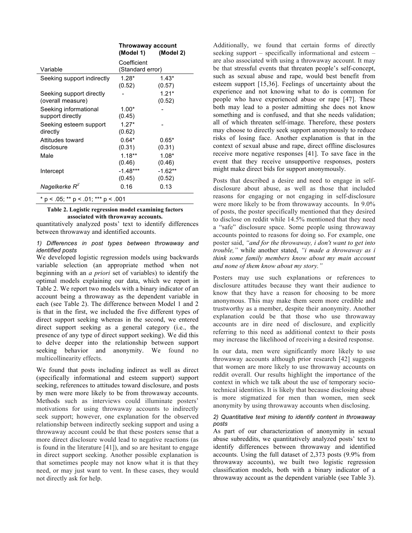|                                               | Throwaway account<br>(Model 1)<br>(Model 2)<br>Coefficient<br>(Standard error) |                     |  |  |
|-----------------------------------------------|--------------------------------------------------------------------------------|---------------------|--|--|
| Variable                                      |                                                                                |                     |  |  |
| Seeking support indirectly                    | $1.28*$<br>(0.52)                                                              | $1.43*$<br>(0.57)   |  |  |
| Seeking support directly<br>(overall measure) |                                                                                | $1.21*$<br>(0.52)   |  |  |
| Seeking informational<br>support directly     | $1.00*$<br>(0.45)                                                              |                     |  |  |
| Seeking esteem support<br>directly            | $1.27*$<br>(0.62)                                                              |                     |  |  |
| Attitudes toward<br>disclosure                | $0.64*$<br>(0.31)                                                              | $0.65*$<br>(0.31)   |  |  |
| Male                                          | $1.18**$<br>(0.46)                                                             | $1.08*$<br>(0.46)   |  |  |
| Intercept                                     | $-1.48***$<br>(0.45)                                                           | $-1.62**$<br>(0.52) |  |  |
| Nagelkerke $R^2$                              | 0.16                                                                           | 0.13                |  |  |
| * $p < .05$ ; ** $p < .01$ ; *** $p < .001$   |                                                                                |                     |  |  |

#### **Table 2. Logistic regression model examining factors associated with throwaway accounts.**

quantitatively analyzed posts' text to identify differences between throwaway and identified accounts.

#### *1) Differences in post types between throwaway and identified posts*

We developed logistic regression models using backwards variable selection (an appropriate method when not beginning with an *a priori* set of variables) to identify the optimal models explaining our data, which we report in Table 2. We report two models with a binary indicator of an account being a throwaway as the dependent variable in each (see Table 2). The difference between Model 1 and 2 is that in the first, we included the five different types of direct support seeking whereas in the second, we entered direct support seeking as a general category (i.e., the presence of any type of direct support seeking). We did this to delve deeper into the relationship between support seeking behavior and anonymity. We found no multicollinearity effects.

We found that posts including indirect as well as direct (specifically informational and esteem support) support seeking, references to attitudes toward disclosure, and posts by men were more likely to be from throwaway accounts. Methods such as interviews could illuminate posters' motivations for using throwaway accounts to indirectly seek support; however, one explanation for the observed relationship between indirectly seeking support and using a throwaway account could be that these posters sense that a more direct disclosure would lead to negative reactions (as is found in the literature [41]), and so are hesitant to engage in direct support seeking. Another possible explanation is that sometimes people may not know what it is that they need, or may just want to vent. In these cases, they would not directly ask for help.

Additionally, we found that certain forms of directly seeking support – specifically informational and esteem – are also associated with using a throwaway account. It may be that stressful events that threaten people's self-concept, such as sexual abuse and rape, would best benefit from esteem support [15,36]. Feelings of uncertainty about the experience and not knowing what to do is common for people who have experienced abuse or rape [47]. These both may lead to a poster admitting she does not know something and is confused, and that she needs validation; all of which threaten self-image. Therefore, these posters may choose to directly seek support anonymously to reduce risks of losing face. Another explanation is that in the context of sexual abuse and rape, direct offline disclosures receive more negative responses [41]. To save face in the event that they receive unsupportive responses, posters might make direct bids for support anonymously.

Posts that described a desire and need to engage in selfdisclosure about abuse, as well as those that included reasons for engaging or not engaging in self-disclosure were more likely to be from throwaway accounts. In 9.0% of posts, the poster specifically mentioned that they desired to disclose on reddit while 14.5% mentioned that they need a "safe" disclosure space. Some people using throwaway accounts pointed to reasons for doing so. For example, one poster said, *"and for the throwaway, i don't want to get into trouble,"* while another stated, *"i made a throwaway as i think some family members know about my main account and none of them know about my story."*

Posters may use such explanations or references to disclosure attitudes because they want their audience to know that they have a reason for choosing to be more anonymous. This may make them seem more credible and trustworthy as a member, despite their anonymity. Another explanation could be that those who use throwaway accounts are in dire need of disclosure, and explicitly referring to this need as additional context to their posts may increase the likelihood of receiving a desired response.

In our data, men were significantly more likely to use throwaway accounts although prior research [42] suggests that women are more likely to use throwaway accounts on reddit overall. Our results highlight the importance of the context in which we talk about the use of temporary sociotechnical identities. It is likely that because disclosing abuse is more stigmatized for men than women, men seek anonymity by using throwaway accounts when disclosing.

## *2) Quantitative text mining to identify content in throwaway posts*

As part of our characterization of anonymity in sexual abuse subreddits, we quantitatively analyzed posts' text to identify differences between throwaway and identified accounts. Using the full dataset of 2,373 posts (9.9% from throwaway accounts), we built two logistic regression classification models, both with a binary indicator of a throwaway account as the dependent variable (see Table 3).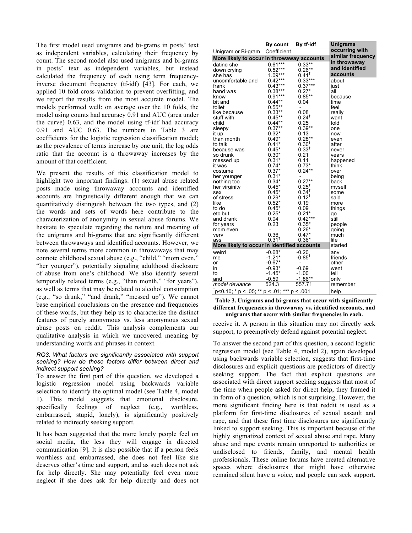The first model used unigrams and bi-grams in posts' text as independent variables, calculating their frequency by count. The second model also used unigrams and bi-grams in posts' text as independent variables, but instead calculated the frequency of each using term frequencyinverse document frequency (tf-idf) [43]. For each, we applied 10 fold cross-validation to prevent overfitting, and we report the results from the most accurate model. The models performed well: on average over the 10 folds, the model using counts had accuracy 0.91 and AUC (area under the curve) 0.63, and the model using tf-idf had accuracy 0.91 and AUC 0.63. The numbers in Table 3 are coefficients for the logistic regression classification model; as the prevalence of terms increase by one unit, the log odds ratio that the account is a throwaway increases by the amount of that coefficient.

We present the results of this classification model to highlight two important findings: (1) sexual abuse related posts made using throwaway accounts and identified accounts are linguistically different enough that we can quantitatively distinguish between the two types, and (2) the words and sets of words here contribute to the characterization of anonymity in sexual abuse forums. We hesitate to speculate regarding the nature and meaning of the unigrams and bi-grams that are significantly different between throwaways and identified accounts. However, we note several terms more common in throwaways that may connote childhood sexual abuse (e.g., "child," "mom even," "her younger"), potentially signaling adulthood disclosure of abuse from one's childhood. We also identify several temporally related terms (e.g., "than month," "for years"), as well as terms that may be related to alcohol consumption (e.g., "so drunk," "and drank," "messed up"). We cannot base empirical conclusions on the presence and frequencies of these words, but they help us to characterize the distinct features of purely anonymous vs. less anonymous sexual abuse posts on reddit. This analysis complements our qualitative analysis in which we uncovered meaning by understanding words and phrases in context.

## *RQ3. What factors are significantly associated with support seeking? How do these factors differ between direct and indirect support seeking?*

To answer the first part of this question, we developed a logistic regression model using backwards variable selection to identify the optimal model (see Table 4, model 1). This model suggests that emotional disclosure, specifically feelings of neglect (e.g., worthless, embarrassed, stupid, lonely), is significantly positively related to indirectly seeking support.

It has been suggested that the more lonely people feel on social media, the less they will engage in directed communication [9]. It is also possible that if a person feels worthless and embarrassed, she does not feel like she deserves other's time and support, and as such does not ask for help directly. She may potentially feel even more neglect if she does ask for help directly and does not

|                                                 | By count                 | By tf-idf                | <b>Unigrams</b> |
|-------------------------------------------------|--------------------------|--------------------------|-----------------|
| Unigram or Bi-gram                              | Coefficient              |                          | occurring with  |
| More likely to occur in throwaway accounts      | similar frequency        |                          |                 |
| dating she                                      | $0.61***$                | $0.33**$                 | in throwaway    |
| down crying                                     | $0.52***$                | $0.26**$                 | and identified  |
| she has                                         | $1.09***$                | $0.41^{+}$               | accounts        |
| uncomfortable and                               | $0.42***$                | $0.33***$                | about           |
| frank                                           | $0.43***$                | $0.37***$                | just            |
| hand was                                        | $0.38***$                | $0.27*$                  | all             |
| know                                            | $0.91***$                | $0.85**$                 | because         |
| bit and                                         | $0.44***$                | 0.04                     | time            |
| toilet                                          | $0.55***$                | $\overline{\phantom{a}}$ | feel            |
| like because                                    | $0.33**$                 | 0.08                     | really          |
| stuff with                                      | $0.45***$                | $0.24^{\dagger}$         | want            |
| child                                           | $0.44**$                 | 0.25                     | told            |
| sleepy                                          | $0.37**$                 | $0.39**$                 | one             |
| it up                                           | $0.32*$                  | 0.13                     | now             |
| than month                                      | $0.49*$                  | $0.28**$                 | even            |
| to talk                                         | $0.41*$                  | $0.30^{+}$               | after           |
| because was                                     | $0.45*$                  | $0.33^{t}$               | never           |
| so drunk                                        | $0.30*$                  | 0.21                     | vears           |
| messed up                                       | $0.31*$                  | 0.11                     | happened        |
| it was                                          | $0.74*$                  | $0.73*$                  | think           |
| costume                                         | $0.37*$                  | $0.24**$                 | over            |
| her younger                                     | $0.31*$                  | -                        | being           |
| nothing too                                     | $0.34*$                  | $0.27**$                 | back            |
| her virginity                                   | $0.45*$                  | $0.25^{+}$               | myself          |
| sex                                             | $0.45*$                  | $0.34^{\dagger}$         | some            |
| of stress                                       | $0.29*$                  | $0.12^{t}$               | said            |
| like                                            | $0.52*$                  | 0.19                     | more            |
| to do                                           | $0.45*$                  | 0.09                     | thinas          |
| etc but                                         | $0.25*$                  | $0.21*$                  | qo              |
| and drank                                       | 0.04                     | $0.42***$                | still           |
| for years                                       | 0.23                     | $0.35*$                  | people          |
| mom even                                        | $\overline{\phantom{0}}$ | $0.26*$                  | going           |
| very                                            | 0.36                     | $0.47*$                  | much            |
| ass                                             | $0.31$ <sup>t</sup>      | $0.36*$                  | life            |
| More likely to occur in identified accounts     |                          |                          | started         |
| weird                                           | $-0.68*$                 | $-0.20$                  |                 |
|                                                 | $-1.21*$                 | $-0.85^{\dagger}$        | anv<br>friends  |
| me                                              | $-0.67*$                 |                          | other           |
| or                                              |                          | $\overline{\phantom{a}}$ |                 |
| in                                              | $-0.93*$                 | $-0.69$                  | went            |
| to                                              | $-1.45*$                 | $-1.00$                  | tell            |
| and                                             | $-0.59$                  | $-1.86**$                | only            |
| model deviance                                  | 524.3                    | 557.71                   | remember        |
| $\frac{1}{1}p<0.10;$ * p < .05; ** p < .01; *** |                          | p < .001                 | help            |

#### **Table 3. Unigrams and bi-grams that occur with significantly different frequencies in throwaway vs. identified accounts, and unigrams that occur with similar frequencies in each.**

receive it. A person in this situation may not directly seek support, to preemptively defend against potential neglect.

To answer the second part of this question, a second logistic regression model (see Table 4, model 2), again developed using backwards variable selection, suggests that first-time disclosures and explicit questions are predictors of directly seeking support. The fact that explicit questions are associated with direct support seeking suggests that most of the time when people asked for direct help, they framed it in form of a question, which is not surprising. However, the more significant finding here is that reddit is used as a platform for first-time disclosures of sexual assault and rape, and that these first time disclosures are significantly linked to support seeking. This is important because of the highly stigmatized context of sexual abuse and rape. Many abuse and rape events remain unreported to authorities or undisclosed to friends, family, and mental health professionals. These online forums have created alternative spaces where disclosures that might have otherwise remained silent have a voice, and people can seek support.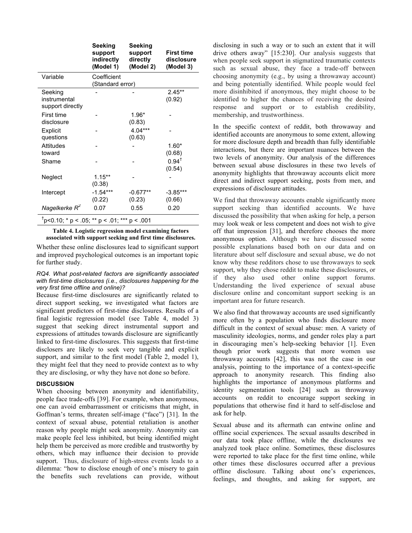|                                                          | Seeking<br>support<br>indirectly<br>(Model 1) | Seeking<br>support<br>directly<br>(Model 2) | <b>First time</b><br>disclosure<br>(Model 3) |
|----------------------------------------------------------|-----------------------------------------------|---------------------------------------------|----------------------------------------------|
| Variable                                                 | Coefficient<br>(Standard error)               |                                             |                                              |
| Seeking<br>instrumental<br>support directly              |                                               |                                             | $2.45**$<br>(0.92)                           |
| First time<br>disclosure                                 |                                               | 1.96*<br>(0.83)                             |                                              |
| Explicit<br>questions                                    |                                               | $4.04***$<br>(0.63)                         |                                              |
| <b>Attitudes</b><br>toward                               |                                               |                                             | $1.60*$<br>(0.68)                            |
| Shame                                                    |                                               |                                             | $0.94^{\dagger}$<br>(0.54)                   |
| Neglect                                                  | $1.15***$<br>(0.38)                           |                                             |                                              |
| Intercept                                                | $-1.54***$<br>(0.22)                          | $-0.677**$<br>(0.23)                        | $-3.85***$<br>(0.66)                         |
| Nagelkerke $R^2$                                         | 0.07                                          | 0.55                                        | 0.20                                         |
| <sup>†</sup> p<0.10; * p < .05; ** p < .01; *** p < .001 |                                               |                                             |                                              |

**Table 4. Logistic regression model examining factors** 

**associated with support seeking and first time disclosures.**

Whether these online disclosures lead to significant support and improved psychological outcomes is an important topic for further study.

## *RQ4. What post-related factors are significantly associated with first-time disclosures (i.e., disclosures happening for the very first time offline and online)?*

Because first-time disclosures are significantly related to direct support seeking, we investigated what factors are significant predictors of first-time disclosures. Results of a final logistic regression model (see Table 4, model 3) suggest that seeking direct instrumental support and expressions of attitudes towards disclosure are significantly linked to first-time disclosures. This suggests that first-time disclosers are likely to seek very tangible and explicit support, and similar to the first model (Table 2, model 1), they might feel that they need to provide context as to why they are disclosing, or why they have not done so before.

# **DISCUSSION**

When choosing between anonymity and identifiability, people face trade-offs [39]. For example, when anonymous, one can avoid embarrassment or criticisms that might, in Goffman's terms, threaten self-image ("face") [31]. In the context of sexual abuse, potential retaliation is another reason why people might seek anonymity. Anonymity can make people feel less inhibited, but being identified might help them be perceived as more credible and trustworthy by others, which may influence their decision to provide support. Thus, disclosure of high-stress events leads to a dilemma: "how to disclose enough of one's misery to gain the benefits such revelations can provide, without disclosing in such a way or to such an extent that it will drive others away" [15:230]. Our analysis suggests that when people seek support in stigmatized traumatic contexts such as sexual abuse, they face a trade-off between choosing anonymity (e.g., by using a throwaway account) and being potentially identified. While people would feel more disinhibited if anonymous, they might choose to be identified to higher the chances of receiving the desired response and support or to establish credibility, membership, and trustworthiness.

In the specific context of reddit, both throwaway and identified accounts are anonymous to some extent, allowing for more disclosure depth and breadth than fully identifiable interactions, but there are important nuances between the two levels of anonymity. Our analysis of the differences between sexual abuse disclosures in these two levels of anonymity highlights that throwaway accounts elicit more direct and indirect support seeking, posts from men, and expressions of disclosure attitudes.

We find that throwaway accounts enable significantly more support seeking than identified accounts. We have discussed the possibility that when asking for help, a person may look weak or less competent and does not wish to give off that impression [31], and therefore chooses the more anonymous option. Although we have discussed some possible explanations based both on our data and on literature about self disclosure and sexual abuse, we do not know why these redditors chose to use throwaways to seek support, why they chose reddit to make these disclosures, or if they also used other online support forums. Understanding the lived experience of sexual abuse disclosure online and concomitant support seeking is an important area for future research.

We also find that throwaway accounts are used significantly more often by a population who finds disclosure more difficult in the context of sexual abuse: men. A variety of masculinity ideologies, norms, and gender roles play a part in discouraging men's help-seeking behavior [1]. Even though prior work suggests that more women use throwaway accounts [42], this was not the case in our analysis, pointing to the importance of a context-specific approach to anonymity research. This finding also highlights the importance of anonymous platforms and identity segmentation tools [24] such as throwaway accounts on reddit to encourage support seeking in populations that otherwise find it hard to self-disclose and ask for help.

Sexual abuse and its aftermath can entwine online and offline social experiences. The sexual assaults described in our data took place offline, while the disclosures we analyzed took place online. Sometimes, these disclosures were reported to take place for the first time online, while other times these disclosures occurred after a previous offline disclosure. Talking about one's experiences, feelings, and thoughts, and asking for support, are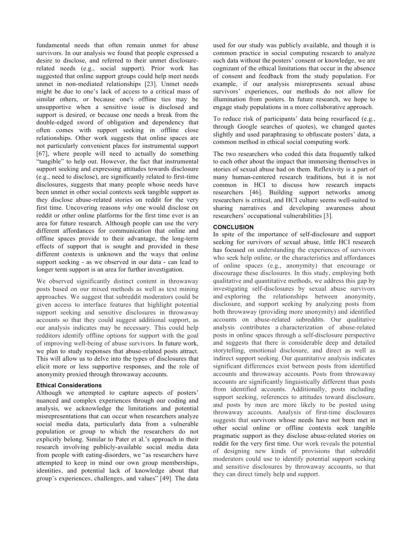fundamental needs that often remain unmet for abuse survivors. In our analysis we found that people expressed a desire to disclose, and referred to their unmet disclosurerelated needs (e.g., social support). Prior work has suggested that online support groups could help meet needs unmet in non-mediated relationships [23]. Unmet needs might be due to one's lack of access to a critical mass of similar others, or because one's offline ties may be unsupportive when a sensitive issue is disclosed and support is desired, or because one needs a break from the double-edged sword of obligation and dependency that often comes with support seeking in offline close relationships. Other work suggests that online spaces are not particularly convenient places for instrumental support [67], where people will need to actually do something "tangible" to help out. However, the fact that instrumental support seeking and expressing attitudes towards disclosure (e.g., need to disclose), are significantly related to first-time disclosures, suggests that many people whose needs have been unmet in other social contexts seek tangible support as they disclose abuse-related stories on reddit for the very first time. Uncovering reasons *why* one would disclose on reddit or other online platforms for the first time ever is an area for future research. Although people can use the very different affordances for communication that online and offline spaces provide to their advantage, the long-term effects of support that is sought and provided in these different contexts is unknown and the ways that online support seeking - as we observed in our data - can lead to longer term support is an area for further investigation.

We observed significantly distinct content in throwaway posts based on our mixed methods as well as text mining approaches. We suggest that subreddit moderators could be given access to interface features that highlight potential support seeking and sensitive disclosures in throwaway accounts so that they could suggest additional support, as our analysis indicates may be necessary. This could help redditors identify offline options for support with the goal of improving well-being of abuse survivors. In future work, we plan to study responses that abuse-related posts attract. This will allow us to delve into the types of disclosures that elicit more or less supportive responses, and the role of anonymity proxied through throwaway accounts.

## **Ethical Considerations**

Although we attempted to capture aspects of posters' nuanced and complex experiences through our coding and analysis, we acknowledge the limitations and potential misrepresentations that can occur when researchers analyze social media data, particularly data from a vulnerable population or group to which the researchers do not explicitly belong. Similar to Pater et al.'s approach in their research involving publicly-available social media data from people with eating-disorders, we "as researchers have attempted to keep in mind our own group memberships, identities, and potential lack of knowledge about that group's experiences, challenges, and values" [49]. The data used for our study was publicly available, and though it is common practice in social computing research to analyze such data without the posters' consent or knowledge, we are cognizant of the ethical limitations that occur in the absence of consent and feedback from the study population. For example, if our analysis misrepresents sexual abuse survivors' experiences, our methods do not allow for illumination from posters. In future research, we hope to engage study populations in a more collaborative approach.

To reduce risk of participants' data being resurfaced (e.g*.*, through Google searches of quotes), we changed quotes slightly and used paraphrasing to obfuscate posters' data, a common method in ethical social computing work.

The two researchers who coded this data frequently talked to each other about the impact that immersing themselves in stories of sexual abuse had on them. Reflexivity is a part of many human-centered research traditions, but it is not common in HCI to discuss how research impacts researchers [46]. Building support networks among researchers is critical, and HCI culture seems well-suited to sharing narratives and developing awareness about researchers' occupational vulnerabilities [3].

# **CONCLUSION**

In spite of the importance of self-disclosure and support seeking for survivors of sexual abuse, little HCI research has focused on understanding the experiences of survivors who seek help online, or the characteristics and affordances of online spaces (e.g., anonymity) that encourage or discourage these disclosures. In this study, employing both qualitative and quantitative methods, we address this gap by investigating self-disclosures by sexual abuse survivors and exploring the relationships between anonymity, disclosure, and support seeking by analyzing posts from both throwaway (providing more anonymity) and identified accounts on abuse-related subreddits. Our qualitative analysis contributes a characterization of abuse-related posts in online spaces through a self-disclosure perspective and suggests that there is considerable deep and detailed storytelling, emotional disclosure, and direct as well as indirect support seeking. Our quantitative analysis indicates significant differences exist between posts from identified accounts and throwaway accounts. Posts from throwaway accounts are significantly linguistically different than posts from identified accounts. Additionally, posts including support seeking, references to attitudes toward disclosure, and posts by men are more likely to be posted using throwaway accounts. Analysis of first-time disclosures suggests that survivors whose needs have not been met in other social online or offline contexts seek tangible pragmatic support as they disclose abuse-related stories on reddit for the very first time. Our work reveals the potential of designing new kinds of provisions that subreddit moderators could use to identify potential support seeking and sensitive disclosures by throwaway accounts, so that they can direct timely help and support.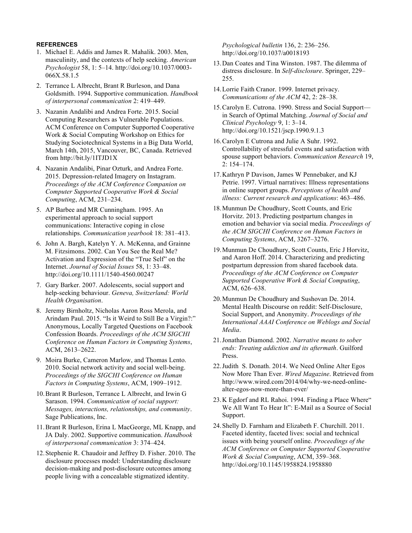# **REFERENCES**

- 1. Michael E. Addis and James R. Mahalik. 2003. Men, masculinity, and the contexts of help seeking. *American Psychologist* 58, 1: 5–14. http://doi.org/10.1037/0003- 066X.58.1.5
- 2. Terrance L Albrecht, Brant R Burleson, and Dana Goldsmith. 1994. Supportive communication. *Handbook of interpersonal communication* 2: 419–449.
- 3. Nazanin Andalibi and Andrea Forte. 2015. Social Computing Researchers as Vulnerable Populations. ACM Conference on Computer Supported Cooperative Work & Social Computing Workshop on Ethics for Studying Sociotechnical Systems in a Big Data World, March 14th, 2015, Vancouver, BC, Canada. Retrieved from http://bit.ly/1ITJD1X
- 4. Nazanin Andalibi, Pinar Ozturk, and Andrea Forte. 2015. Depression-related Imagery on Instagram. *Proceedings of the ACM Conference Companion on Computer Supported Cooperative Work & Social Computing*, ACM, 231–234.
- 5. AP Barbee and MR Cunningham. 1995. An experimental approach to social support communications: Interactive coping in close relationships. *Communication yearbook* 18: 381–413.
- 6. John A. Bargh, Katelyn Y. A. McKenna, and Grainne M. Fitzsimons. 2002. Can You See the Real Me? Activation and Expression of the "True Self" on the Internet. *Journal of Social Issues* 58, 1: 33–48. http://doi.org/10.1111/1540-4560.00247
- 7. Gary Barker. 2007. Adolescents, social support and help-seeking behaviour. *Geneva, Switzerland: World Health Organisation*.
- 8. Jeremy Birnholtz, Nicholas Aaron Ross Merola, and Arindam Paul. 2015. "Is it Weird to Still Be a Virgin?:" Anonymous, Locally Targeted Questions on Facebook Confession Boards. *Proceedings of the ACM SIGCHI Conference on Human Factors in Computing Systems*, ACM, 2613–2622.
- 9. Moira Burke, Cameron Marlow, and Thomas Lento. 2010. Social network activity and social well-being. *Proceedings of the SIGCHI Conference on Human Factors in Computing Systems*, ACM, 1909–1912.
- 10.Brant R Burleson, Terrance L Albrecht, and Irwin G Sarason. 1994. *Communication of social support: Messages, interactions, relationships, and community*. Sage Publications, Inc.
- 11.Brant R Burleson, Erina L MacGeorge, ML Knapp, and JA Daly. 2002. Supportive communication. *Handbook of interpersonal communication* 3: 374–424.
- 12.Stephenie R. Chaudoir and Jeffrey D. Fisher. 2010. The disclosure processes model: Understanding disclosure decision-making and post-disclosure outcomes among people living with a concealable stigmatized identity.

*Psychological bulletin* 136, 2: 236–256. http://doi.org/10.1037/a0018193

- 13.Dan Coates and Tina Winston. 1987. The dilemma of distress disclosure. In *Self-disclosure*. Springer, 229– 255.
- 14.Lorrie Faith Cranor. 1999. Internet privacy. *Communications of the ACM* 42, 2: 28–38.
- 15.Carolyn E. Cutrona. 1990. Stress and Social Support in Search of Optimal Matching. *Journal of Social and Clinical Psychology* 9, 1: 3–14. http://doi.org/10.1521/jscp.1990.9.1.3
- 16.Carolyn E Cutrona and Julie A Suhr. 1992. Controllability of stressful events and satisfaction with spouse support behaviors. *Communication Research* 19, 2: 154–174.
- 17.Kathryn P Davison, James W Pennebaker, and KJ Petrie. 1997. Virtual narratives: Illness representations in online support groups. *Perceptions of health and illness: Current research and applications*: 463–486.
- 18.Munmun De Choudhury, Scott Counts, and Eric Horvitz. 2013. Predicting postpartum changes in emotion and behavior via social media. *Proceedings of the ACM SIGCHI Conference on Human Factors in Computing Systems*, ACM, 3267–3276.
- 19.Munmun De Choudhury, Scott Counts, Eric J Horvitz, and Aaron Hoff. 2014. Characterizing and predicting postpartum depression from shared facebook data. *Proceedings of the ACM Conference on Computer Supported Cooperative Work & Social Computing*, ACM, 626–638.
- 20.Munmun De Choudhury and Sushovan De. 2014. Mental Health Discourse on reddit: Self-Disclosure, Social Support, and Anonymity. *Proceedings of the International AAAI Conference on Weblogs and Social Media*.
- 21.Jonathan Diamond. 2002. *Narrative means to sober ends: Treating addiction and its aftermath*. Guilford Press.
- 22.Judith S. Donath. 2014. We Need Online Alter Egos Now More Than Ever. *Wired Magazine*. Retrieved from http://www.wired.com/2014/04/why-we-need-onlinealter-egos-now-more-than-ever/
- 23.K Egdorf and RL Rahoi. 1994. Finding a Place Where" We All Want To Hear It": E-Mail as a Source of Social Support.
- 24.Shelly D. Farnham and Elizabeth F. Churchill. 2011. Faceted identity, faceted lives: social and technical issues with being yourself online. *Proceedings of the ACM Conference on Computer Supported Cooperative Work & Social Computing*, ACM, 359–368. http://doi.org/10.1145/1958824.1958880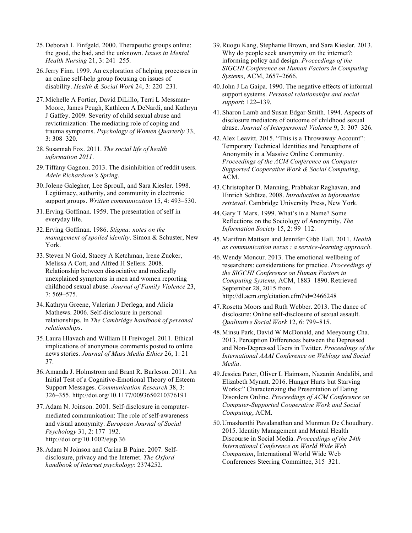- 25.Deborah L Finfgeld. 2000. Therapeutic groups online: the good, the bad, and the unknown. *Issues in Mental Health Nursing* 21, 3: 241–255.
- 26.Jerry Finn. 1999. An exploration of helping processes in an online self-help group focusing on issues of disability. *Health & Social Work* 24, 3: 220–231.
- 27.Michelle A Fortier, David DiLillo, Terri L Messman**-**Moore, James Peugh, Kathleen A DeNardi, and Kathryn J Gaffey. 2009. Severity of child sexual abuse and revictimization: The mediating role of coping and trauma symptoms. *Psychology of Women Quarterly* 33, 3: 308–320.
- 28.Susannah Fox. 2011. *The social life of health information 2011*.
- 29.Tiffany Gagnon. 2013. The disinhibition of reddit users. *Adele Richardson's Spring*.
- 30.Jolene Galegher, Lee Sproull, and Sara Kiesler. 1998. Legitimacy, authority, and community in electronic support groups. *Written communication* 15, 4: 493–530.
- 31.Erving Goffman. 1959. The presentation of self in everyday life.
- 32.Erving Goffman. 1986. *Stigma: notes on the management of spoiled identity*. Simon & Schuster, New York.
- 33.Steven N Gold, Stacey A Ketchman, Irene Zucker, Melissa A Cott, and Alfred H Sellers. 2008. Relationship between dissociative and medically unexplained symptoms in men and women reporting childhood sexual abuse. *Journal of Family Violence* 23, 7: 569–575.
- 34.Kathryn Greene, Valerian J Derlega, and Alicia Mathews. 2006. Self-disclosure in personal relationships. In *The Cambridge handbook of personal relationships*.
- 35.Laura Hlavach and William H Freivogel. 2011. Ethical implications of anonymous comments posted to online news stories. *Journal of Mass Media Ethics* 26, 1: 21– 37.
- 36.Amanda J. Holmstrom and Brant R. Burleson. 2011. An Initial Test of a Cognitive-Emotional Theory of Esteem Support Messages. *Communication Research* 38, 3: 326–355. http://doi.org/10.1177/0093650210376191
- 37.Adam N. Joinson. 2001. Self-disclosure in computermediated communication: The role of self-awareness and visual anonymity. *European Journal of Social Psychology* 31, 2: 177–192. http://doi.org/10.1002/ejsp.36
- 38.Adam N Joinson and Carina B Paine. 2007. Selfdisclosure, privacy and the Internet. *The Oxford handbook of Internet psychology*: 2374252.
- 39.Ruogu Kang, Stephanie Brown, and Sara Kiesler. 2013. Why do people seek anonymity on the internet?: informing policy and design. *Proceedings of the SIGCHI Conference on Human Factors in Computing Systems*, ACM, 2657–2666.
- 40.John J La Gaipa. 1990. The negative effects of informal support systems. *Personal relationships and social support*: 122–139.
- 41.Sharon Lamb and Susan Edgar-Smith. 1994. Aspects of disclosure mediators of outcome of childhood sexual abuse. *Journal of Interpersonal Violence* 9, 3: 307–326.
- 42.Alex Leavitt. 2015. "This is a Throwaway Account": Temporary Technical Identities and Perceptions of Anonymity in a Massive Online Community. *Proceedings of the ACM Conference on Computer Supported Cooperative Work & Social Computing*, ACM.
- 43.Christopher D. Manning, Prabhakar Raghavan, and Hinrich Schütze. 2008. *Introduction to information retrieval*. Cambridge University Press, New York.
- 44.Gary T Marx. 1999. What's in a Name? Some Reflections on the Sociology of Anonymity. *The Information Society* 15, 2: 99–112.
- 45.Marifran Mattson and Jennifer Gibb Hall. 2011. *Health as communication nexus : a service-learning approach*.
- 46.Wendy Moncur. 2013. The emotional wellbeing of researchers: considerations for practice. *Proceedings of the SIGCHI Conference on Human Factors in Computing Systems*, ACM, 1883–1890. Retrieved September 28, 2015 from http://dl.acm.org/citation.cfm?id=2466248
- 47.Rosetta Moors and Ruth Webber. 2013. The dance of disclosure: Online self-disclosure of sexual assault. *Qualitative Social Work* 12, 6: 799–815.
- 48.Minsu Park, David W McDonald, and Meeyoung Cha. 2013. Perception Differences between the Depressed and Non-Depressed Users in Twitter. *Proceedings of the International AAAI Conference on Weblogs and Social Media*.
- 49.Jessica Pater, Oliver L Haimson, Nazanin Andalibi, and Elizabeth Mynatt. 2016. Hunger Hurts but Starving Works:" Characterizing the Presentation of Eating Disorders Online. *Proceedings of ACM Conference on Computer-Supported Cooperative Work and Social Computing*, ACM.
- 50.Umashanthi Pavalanathan and Munmun De Choudhury. 2015. Identity Management and Mental Health Discourse in Social Media. *Proceedings of the 24th International Conference on World Wide Web Companion*, International World Wide Web Conferences Steering Committee, 315–321.